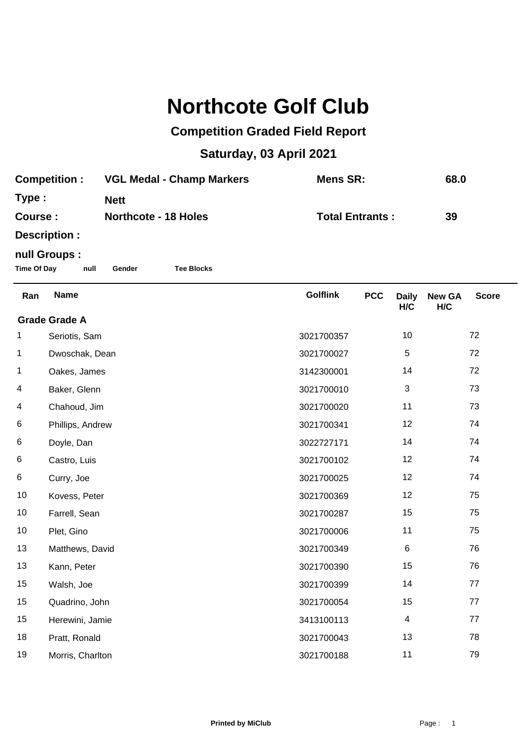## **Northcote Golf Club**

## **Competition Graded Field Report**

## **Saturday, 03 April 2021**

| <b>Competition :</b> | <b>VGL Medal - Champ Markers</b> | Mens SR:               | 68.0 |
|----------------------|----------------------------------|------------------------|------|
| Type :               | <b>Nett</b>                      |                        |      |
| <b>Course :</b>      | <b>Northcote - 18 Holes</b>      | <b>Total Entrants:</b> | 39   |
| <b>Description:</b>  |                                  |                        |      |

## **null Groups :**

**Time Of Day null Gender Tee Blocks**

| Ran                  | <b>Name</b>      | <b>Golflink</b> | <b>PCC</b> | <b>Daily</b><br>H/C | <b>New GA</b><br>H/C | <b>Score</b> |  |
|----------------------|------------------|-----------------|------------|---------------------|----------------------|--------------|--|
| <b>Grade Grade A</b> |                  |                 |            |                     |                      |              |  |
| 1                    | Seriotis, Sam    | 3021700357      |            | 10                  |                      | 72           |  |
| 1                    | Dwoschak, Dean   | 3021700027      |            | 5                   |                      | 72           |  |
| 1                    | Oakes, James     | 3142300001      |            | 14                  |                      | 72           |  |
| 4                    | Baker, Glenn     | 3021700010      |            | 3                   |                      | 73           |  |
| 4                    | Chahoud, Jim     | 3021700020      |            | 11                  |                      | 73           |  |
| 6                    | Phillips, Andrew | 3021700341      |            | 12                  |                      | 74           |  |
| 6                    | Doyle, Dan       | 3022727171      |            | 14                  |                      | 74           |  |
| 6                    | Castro, Luis     | 3021700102      |            | 12                  |                      | 74           |  |
| 6                    | Curry, Joe       | 3021700025      |            | 12                  |                      | 74           |  |
| 10                   | Kovess, Peter    | 3021700369      |            | 12                  |                      | 75           |  |
| 10                   | Farrell, Sean    | 3021700287      |            | 15                  |                      | 75           |  |
| 10                   | Plet, Gino       | 3021700006      |            | 11                  |                      | 75           |  |
| 13                   | Matthews, David  | 3021700349      |            | 6                   |                      | 76           |  |
| 13                   | Kann, Peter      | 3021700390      |            | 15                  |                      | 76           |  |
| 15                   | Walsh, Joe       | 3021700399      |            | 14                  |                      | 77           |  |
| 15                   | Quadrino, John   | 3021700054      |            | 15                  |                      | 77           |  |
| 15                   | Herewini, Jamie  | 3413100113      |            | $\overline{4}$      |                      | 77           |  |
| 18                   | Pratt, Ronald    | 3021700043      |            | 13                  |                      | 78           |  |
| 19                   | Morris, Charlton | 3021700188      |            | 11                  |                      | 79           |  |